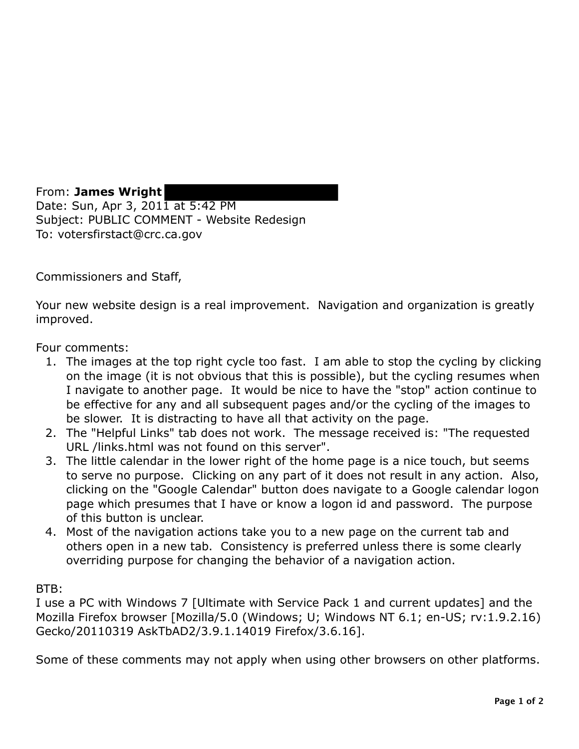From: **James Wright**  Date: Sun, Apr 3, 2011 at 5:42 PM Subject: PUBLIC COMMENT - Website Redesign To: votersfirstact@crc.ca.gov

Commissioners and Staff,

Your new website design is a real improvement. Navigation and organization is greatly improved.

Four comments:

- 1. The images at the top right cycle too fast. I am able to stop the cycling by clicking on the image (it is not obvious that this is possible), but the cycling resumes when I navigate to another page. It would be nice to have the "stop" action continue to be effective for any and all subsequent pages and/or the cycling of the images to be slower. It is distracting to have all that activity on the page.
- 2. The "Helpful Links" tab does not work. The message received is: "The requested URL /links.html was not found on this server".
- 3. The little calendar in the lower right of the home page is a nice touch, but seems to serve no purpose. Clicking on any part of it does not result in any action. Also, clicking on the "Google Calendar" button does navigate to a Google calendar logon page which presumes that I have or know a logon id and password. The purpose of this button is unclear.
- 4. Most of the navigation actions take you to a new page on the current tab and others open in a new tab. Consistency is preferred unless there is some clearly overriding purpose for changing the behavior of a navigation action.

BTB:

I use a PC with Windows 7 [Ultimate with Service Pack 1 and current updates] and the Mozilla Firefox browser [Mozilla/5.0 (Windows; U; Windows NT 6.1; en-US; rv:1.9.2.16) Gecko/20110319 AskTbAD2/3.9.1.14019 Firefox/3.6.16].

Some of these comments may not apply when using other browsers on other platforms.